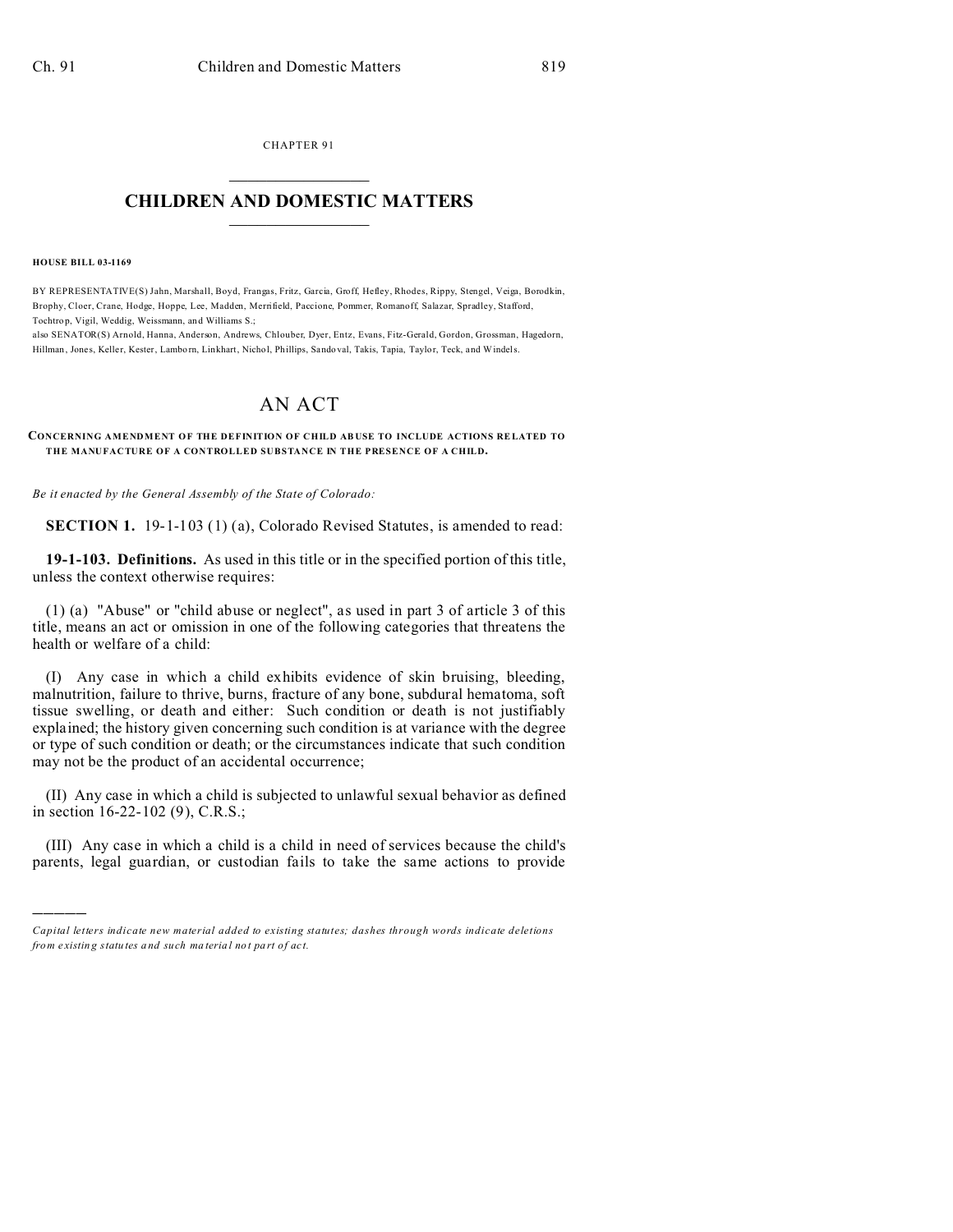CHAPTER 91  $\overline{\phantom{a}}$  , where  $\overline{\phantom{a}}$ 

## **CHILDREN AND DOMESTIC MATTERS**  $\_$   $\_$

**HOUSE BILL 03-1169**

)))))

BY REPRESENTATIVE(S) Jahn, Marshall, Boyd, Frangas, Fritz, Garcia, Groff, Hefley, Rhodes, Rippy, Stengel, Veiga, Borodkin, Brophy, Cloer, Crane, Hodge, Hoppe, Lee, Madden, Merrifield, Paccione, Pommer, Romanoff, Salazar, Spradley, Stafford, Tochtro p, Vigil, Weddig, Weissmann, an d Williams S.;

also SENATOR(S) Arnold, Hanna, Anderson, Andrews, Chlouber, Dyer, Entz, Evans, Fitz-Gerald, Gordon, Grossman, Hagedorn, Hillman, Jone s, Kelle r, Kester, Lambo rn, Linkhart, Nicho l, Phillips, Sando val, Takis, Tapia, Taylor, Teck, and Windels.

## AN ACT

**CONCERNING AMENDMENT OF THE DEFINITION OF CHILD AB USE TO INCLUDE ACTIONS RE LATED TO THE MANUFACTURE OF A CONTROLLED SUBSTANCE IN THE PRESENCE OF A CHILD.**

*Be it enacted by the General Assembly of the State of Colorado:*

**SECTION 1.** 19-1-103 (1) (a), Colorado Revised Statutes, is amended to read:

**19-1-103. Definitions.** As used in this title or in the specified portion of this title, unless the context otherwise requires:

(1) (a) "Abuse" or "child abuse or neglect", as used in part 3 of article 3 of this title, means an act or omission in one of the following categories that threatens the health or welfare of a child:

(I) Any case in which a child exhibits evidence of skin bruising, bleeding, malnutrition, failure to thrive, burns, fracture of any bone, subdural hematoma, soft tissue swelling, or death and either: Such condition or death is not justifiably explained; the history given concerning such condition is at variance with the degree or type of such condition or death; or the circumstances indicate that such condition may not be the product of an accidental occurrence;

(II) Any case in which a child is subjected to unlawful sexual behavior as defined in section 16-22-102 (9), C.R.S.;

(III) Any case in which a child is a child in need of services because the child's parents, legal guardian, or custodian fails to take the same actions to provide

*Capital letters indicate new material added to existing statutes; dashes through words indicate deletions from e xistin g statu tes a nd such ma teria l no t pa rt of ac t.*